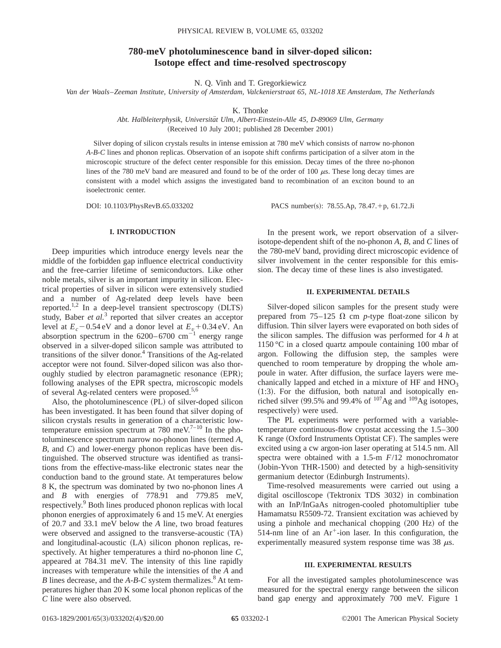# **780-meV photoluminescence band in silver-doped silicon: Isotope effect and time-resolved spectroscopy**

N. Q. Vinh and T. Gregorkiewicz

*Van der Waals*–*Zeeman Institute, University of Amsterdam, Valckenierstraat 65, NL-1018 XE Amsterdam, The Netherlands*

K. Thonke

*Abt. Halbleiterphysik, Universita¨t Ulm, Albert-Einstein-Alle 45, D-89069 Ulm, Germany* (Received 10 July 2001; published 28 December 2001)

Silver doping of silicon crystals results in intense emission at 780 meV which consists of narrow no-phonon *A-B-C* lines and phonon replicas. Observation of an isopote shift confirms participation of a silver atom in the microscopic structure of the defect center responsible for this emission. Decay times of the three no-phonon lines of the 780 meV band are measured and found to be of the order of 100  $\mu$ s. These long decay times are consistent with a model which assigns the investigated band to recombination of an exciton bound to an isoelectronic center.

DOI: 10.1103/PhysRevB.65.033202 PACS number(s): 78.55.Ap, 78.47.+p, 61.72.Ji

# **I. INTRODUCTION**

Deep impurities which introduce energy levels near the middle of the forbidden gap influence electrical conductivity and the free-carrier lifetime of semiconductors. Like other noble metals, silver is an important impurity in silicon. Electrical properties of silver in silicon were extensively studied and a number of Ag-related deep levels have been reported.<sup>1,2</sup> In a deep-level transient spectroscopy  $(DLTS)$ study, Baber *et al.*<sup>3</sup> reported that silver creates an acceptor level at  $E_c$  – 0.54 eV and a donor level at  $E_v$  + 0.34 eV. An absorption spectrum in the  $6200-6700$  cm<sup>-1</sup> energy range observed in a silver-doped silicon sample was attributed to transitions of the silver donor.<sup>4</sup> Transitions of the Ag-related acceptor were not found. Silver-doped silicon was also thoroughly studied by electron paramagnetic resonance (EPR); following analyses of the EPR spectra, microscopic models of several Ag-related centers were proposed.<sup>5,6</sup>

Also, the photoluminescence (PL) of silver-doped silicon has been investigated. It has been found that silver doping of silicon crystals results in generation of a characteristic lowtemperature emission spectrum at 780 meV.<sup>7–10</sup> In the photoluminescence spectrum narrow no-phonon lines (termed A, *B*, and *C*) and lower-energy phonon replicas have been distinguished. The observed structure was identified as transitions from the effective-mass-like electronic states near the conduction band to the ground state. At temperatures below 8 K, the spectrum was dominated by two no-phonon lines *A* and *B* with energies of 778.91 and 779.85 meV, respectively.<sup>9</sup> Both lines produced phonon replicas with local phonon energies of approximately 6 and 15 meV. At energies of 20.7 and 33.1 meV below the *A* line, two broad features were observed and assigned to the transverse-acoustic  $(TA)$ and longitudinal-acoustic (LA) silicon phonon replicas, respectively. At higher temperatures a third no-phonon line *C*, appeared at 784.31 meV. The intensity of this line rapidly increases with temperature while the intensities of the *A* and *B* lines decrease, and the *A-B-C* system thermalizes.<sup>8</sup> At temperatures higher than 20 K some local phonon replicas of the *C* line were also observed.

In the present work, we report observation of a silverisotope-dependent shift of the no-phonon *A*, *B*, and *C* lines of the 780-meV band, providing direct microscopic evidence of silver involvement in the center responsible for this emission. The decay time of these lines is also investigated.

# **II. EXPERIMENTAL DETAILS**

Silver-doped silicon samples for the present study were prepared from  $75-125 \Omega$  cm *p*-type float-zone silicon by diffusion. Thin silver layers were evaporated on both sides of the silicon samples. The diffusion was performed for 4 *h* at 1150 °C in a closed quartz ampoule containing 100 mbar of argon. Following the diffusion step, the samples were quenched to room temperature by dropping the whole ampoule in water. After diffusion, the surface layers were mechanically lapped and etched in a mixture of  $HF$  and  $HNO<sub>3</sub>$  $(1:3)$ . For the diffusion, both natural and isotopically enriched silver (99.5% and 99.4% of  $107\text{Ag}$  and  $109\text{Ag}$  isotopes, respectively) were used.

The PL experiments were performed with a variabletemperature continuous-flow cryostat accessing the 1.5–300  $K$  range (Oxford Instruments Optistat CF). The samples were excited using a cw argon-ion laser operating at 514.5 nm. All spectra were obtained with a 1.5-m *F*/12 monochromator (Jobin-Yvon THR-1500) and detected by a high-sensitivity germanium detector (Edinburgh Instruments).

Time-resolved measurements were carried out using a digital oscilloscope (Tektronix TDS 3032) in combination with an InP/InGaAs nitrogen-cooled photomultiplier tube Hamamatsu R5509-72. Transient excitation was achieved by using a pinhole and mechanical chopping  $(200 \text{ Hz})$  of the 514-nm line of an  $Ar^+$ -ion laser. In this configuration, the experimentally measured system response time was 38  $\mu$ s.

## **III. EXPERIMENTAL RESULTS**

For all the investigated samples photoluminescence was measured for the spectral energy range between the silicon band gap energy and approximately 700 meV. Figure 1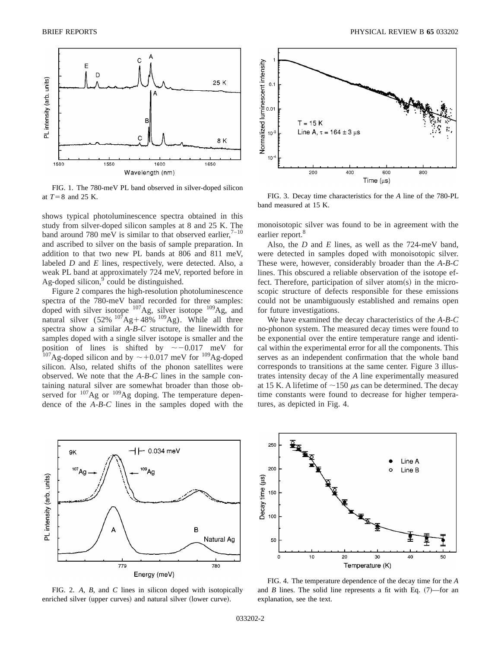

FIG. 1. The 780-meV PL band observed in silver-doped silicon at  $T=8$  and 25 K.

shows typical photoluminescence spectra obtained in this study from silver-doped silicon samples at 8 and 25 K. The band around 780 meV is similar to that observed earlier, $7-10$ and ascribed to silver on the basis of sample preparation. In addition to that two new PL bands at 806 and 811 meV, labeled *D* and *E* lines, respectively, were detected. Also, a weak PL band at approximately 724 meV, reported before in Ag-doped silicon, $9$  could be distinguished.

Figure 2 compares the high-resolution photoluminescence spectra of the 780-meV band recorded for three samples: doped with silver isotope <sup>107</sup>Ag, silver isotope <sup>109</sup>Ag, and natural silver  $(52\%$   $^{107}$ Ag+48%  $^{109}$ Ag). While all three spectra show a similar *A-B-C* structure, the linewidth for samples doped with a single silver isotope is smaller and the position of lines is shifted by  $\sim -0.017$  meV for <sup>107</sup>Ag-doped silicon and by  $\sim$  +0.017 meV for <sup>109</sup>Ag-doped silicon. Also, related shifts of the phonon satellites were observed. We note that the *A-B-C* lines in the sample containing natural silver are somewhat broader than those observed for <sup>107</sup>Ag or <sup>109</sup>Ag doping. The temperature dependence of the *A-B-C* lines in the samples doped with the



FIG. 2. *A*, *B*, and *C* lines in silicon doped with isotopically enriched silver (upper curves) and natural silver (lower curve).



FIG. 3. Decay time characteristics for the *A* line of the 780-PL band measured at 15 K.

monoisotopic silver was found to be in agreement with the earlier report.<sup>8</sup>

Also, the *D* and *E* lines, as well as the 724-meV band, were detected in samples doped with monoisotopic silver. These were, however, considerably broader than the *A-B-C* lines. This obscured a reliable observation of the isotope effect. Therefore, participation of silver atom(s) in the microscopic structure of defects responsible for these emissions could not be unambiguously established and remains open for future investigations.

We have examined the decay characteristics of the *A-B-C* no-phonon system. The measured decay times were found to be exponential over the entire temperature range and identical within the experimental error for all the components. This serves as an independent confirmation that the whole band corresponds to transitions at the same center. Figure 3 illustrates intensity decay of the *A* line experimentally measured at 15 K. A lifetime of  $\sim$ 150  $\mu$ s can be determined. The decay time constants were found to decrease for higher temperatures, as depicted in Fig. 4.



FIG. 4. The temperature dependence of the decay time for the *A* and *B* lines. The solid line represents a fit with Eq.  $(7)$ —for an explanation, see the text.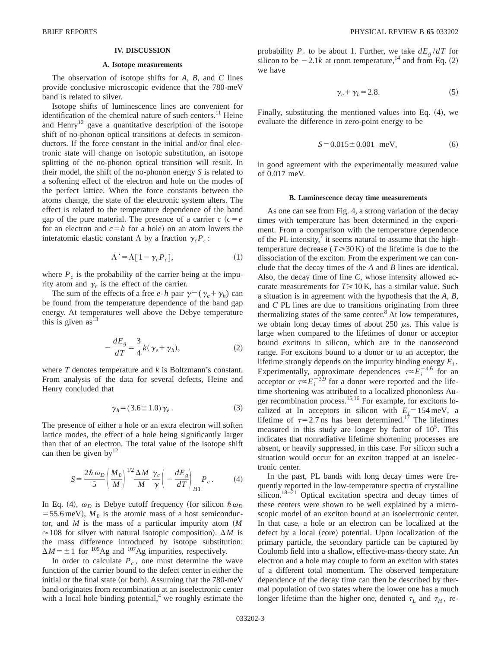## **IV. DISCUSSION**

#### **A. Isotope measurements**

The observation of isotope shifts for *A*, *B*, and *C* lines provide conclusive microscopic evidence that the 780-meV band is related to silver.

Isotope shifts of luminescence lines are convenient for identification of the chemical nature of such centers.<sup>11</sup> Heine and Henry<sup>12</sup> gave a quantitative description of the isotope shift of no-phonon optical transitions at defects in semiconductors. If the force constant in the initial and/or final electronic state will change on isotopic substitution, an isotope splitting of the no-phonon optical transition will result. In their model, the shift of the no-phonon energy *S* is related to a softening effect of the electron and hole on the modes of the perfect lattice. When the force constants between the atoms change, the state of the electronic system alters. The effect is related to the temperature dependence of the band gap of the pure material. The presence of a carrier  $c$   $(c = e)$ for an electron and  $c=h$  for a hole) on an atom lowers the interatomic elastic constant  $\Lambda$  by a fraction  $\gamma_c P_c$ :

$$
\Lambda' = \Lambda [1 - \gamma_c P_c],\tag{1}
$$

where  $P_c$  is the probability of the carrier being at the impurity atom and  $\gamma_c$  is the effect of the carrier.

The sum of the effects of a free *e*-*h* pair  $\gamma = (\gamma_e + \gamma_h)$  can be found from the temperature dependence of the band gap energy. At temperatures well above the Debye temperature this is given  $as<sup>13</sup>$ 

$$
-\frac{dE_g}{dT} = \frac{3}{4}k(\gamma_e + \gamma_h),\tag{2}
$$

where *T* denotes temperature and *k* is Boltzmann's constant. From analysis of the data for several defects, Heine and Henry concluded that

$$
\gamma_h = (3.6 \pm 1.0) \gamma_e \,. \tag{3}
$$

The presence of either a hole or an extra electron will soften lattice modes, the effect of a hole being significantly larger than that of an electron. The total value of the isotope shift can then be given by  $12$ 

$$
S = \frac{2\hbar\,\omega_D}{5} \left(\frac{M_0}{M}\right)^{1/2} \frac{\Delta M}{M} \frac{\gamma_c}{\gamma} \left(-\frac{dE_g}{dT}\right)_{HT} P_c \,. \tag{4}
$$

In Eq. (4),  $\omega_D$  is Debye cutoff frequency (for silicon  $\hbar \omega_D$  $=$  55.6 meV),  $M_0$  is the atomic mass of a host semiconductor, and  $M$  is the mass of a particular impurity atom  $(M)$  $\approx$  108 for silver with natural isotopic composition).  $\Delta M$  is the mass difference introduced by isotope substitution:  $\Delta M = \pm 1$  for <sup>109</sup>Ag and <sup>107</sup>Ag impurities, respectively.

In order to calculate  $P_c$ , one must determine the wave function of the carrier bound to the defect center in either the initial or the final state (or both). Assuming that the  $780$ -meV band originates from recombination at an isoelectronic center with a local hole binding potential, $4$  we roughly estimate the probability  $P_c$  to be about 1. Further, we take  $dE_g/dT$  for silicon to be  $-2.1k$  at room temperature,<sup>14</sup> and from Eq. (2) we have

$$
\gamma_e + \gamma_h = 2.8. \tag{5}
$$

Finally, substituting the mentioned values into Eq.  $(4)$ , we evaluate the difference in zero-point energy to be

$$
S = 0.015 \pm 0.001 \text{ meV}, \tag{6}
$$

in good agreement with the experimentally measured value of 0.017 meV.

#### **B. Luminescence decay time measurements**

As one can see from Fig. 4, a strong variation of the decay times with temperature has been determined in the experiment. From a comparison with the temperature dependence of the PL intensity, $\prime$  it seems natural to assume that the hightemperature decrease  $(T \ge 30 \text{ K})$  of the lifetime is due to the dissociation of the exciton. From the experiment we can conclude that the decay times of the *A* and *B* lines are identical. Also, the decay time of line *C*, whose intensity allowed accurate measurements for  $T \ge 10$  K, has a similar value. Such a situation is in agreement with the hypothesis that the *A*, *B*, and *C* PL lines are due to transitions originating from three thermalizing states of the same center. $8$  At low temperatures, we obtain long decay times of about 250  $\mu$ s. This value is large when compared to the lifetimes of donor or acceptor bound excitons in silicon, which are in the nanosecond range. For excitons bound to a donor or to an acceptor, the lifetime strongly depends on the impurity binding energy  $E_i$ . Experimentally, approximate dependences  $\tau \propto E_i^{-4.6}$  for an acceptor or  $\tau \propto E_i^{-3.9}$  for a donor were reported and the lifetime shortening was attributed to a localized phononless Auger recombination process.<sup>15,16</sup> For example, for excitons localized at In acceptors in silicon with  $E_i = 154 \text{ meV}$ , a lifetime of  $\tau=2.7$  ns has been determined.<sup>17</sup> The lifetimes measured in this study are longer by factor of  $10<sup>5</sup>$ . This indicates that nonradiative lifetime shortening processes are absent, or heavily suppressed, in this case. For silicon such a situation would occur for an exciton trapped at an isoelectronic center.

In the past, PL bands with long decay times were frequently reported in the low-temperature spectra of crystalline silicon.<sup>18–21</sup> Optical excitation spectra and decay times of these centers were shown to be well explained by a microscopic model of an exciton bound at an isoelectronic center. In that case, a hole or an electron can be localized at the defect by a local (core) potential. Upon localization of the primary particle, the secondary particle can be captured by Coulomb field into a shallow, effective-mass-theory state. An electron and a hole may couple to form an exciton with states of a different total momentum. The observed temperature dependence of the decay time can then be described by thermal population of two states where the lower one has a much longer lifetime than the higher one, denoted  $\tau_L$  and  $\tau_H$ , re